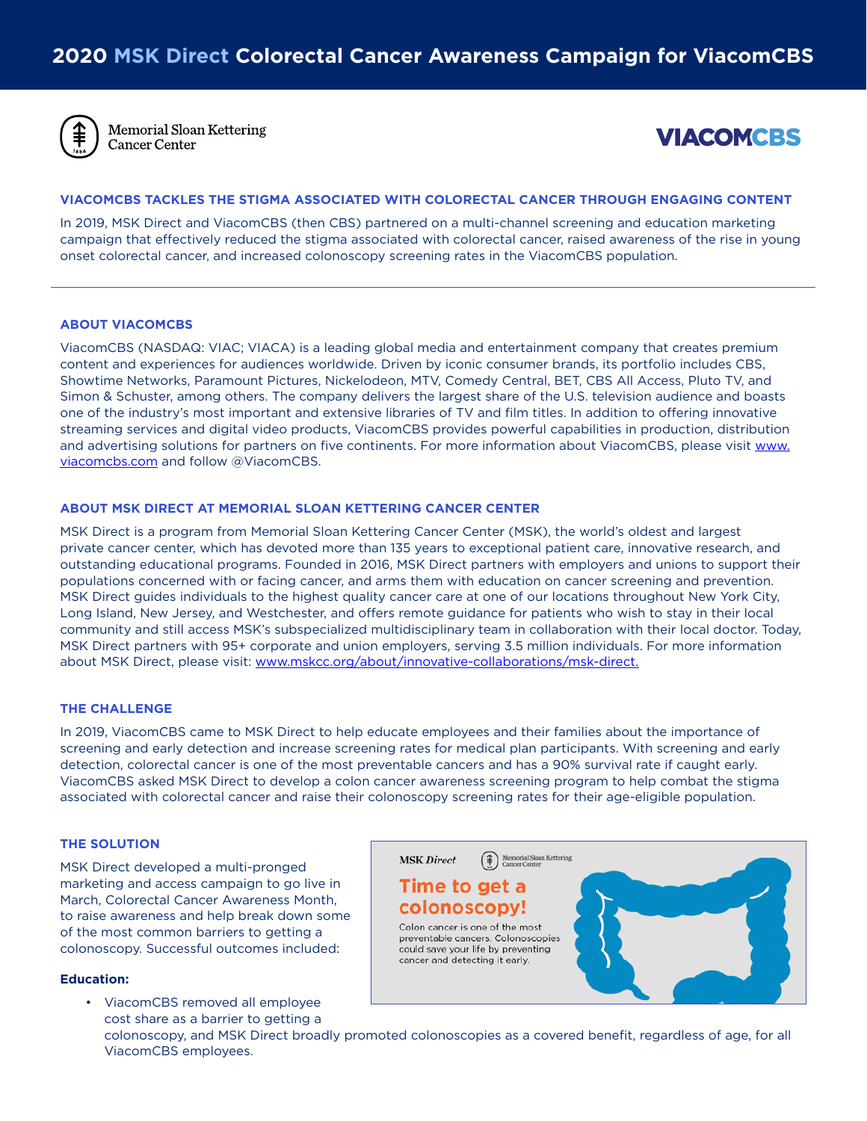

**Memorial Sloan Kettering** Cancer Center



# **VIACOMCBS TACKLES THE STIGMA ASSOCIATED WITH COLORECTAL CANCER THROUGH ENGAGING CONTENT**

In 2019, MSK Direct and ViacomCBS (then CBS) partnered on a multi-channel screening and education marketing campaign that effectively reduced the stigma associated with colorectal cancer, raised awareness of the rise in young onset colorectal cancer, and increased colonoscopy screening rates in the ViacomCBS population.

# **ABOUT VIACOMCBS**

ViacomCBS (NASDAQ: VIAC; VIACA) is a leading global media and entertainment company that creates premium content and experiences for audiences worldwide. Driven by iconic consumer brands, its portfolio includes CBS, Showtime Networks, Paramount Pictures, Nickelodeon, MTV, Comedy Central, BET, CBS All Access, Pluto TV, and Simon & Schuster, among others. The company delivers the largest share of the U.S. television audience and boasts one of the industry's most important and extensive libraries of TV and film titles. In addition to offering innovative streaming services and digital video products, ViacomCBS provides powerful capabilities in production, distribution and advertising solutions for partners on five continents. For more information about ViacomCBS, please visit [www.](https://cts.businesswire.com/ct/CT?id=smartlink&url=http%3A%2F%2Fwww.viacomcbs.com&esheet=52260317&newsitemid=20200803005795&lan=en-US&anchor=www.viacomcbs.com&index=1&md5=9fc888fae5ef63b853b917855bdb536b) [viacomcbs.com](https://cts.businesswire.com/ct/CT?id=smartlink&url=http%3A%2F%2Fwww.viacomcbs.com&esheet=52260317&newsitemid=20200803005795&lan=en-US&anchor=www.viacomcbs.com&index=1&md5=9fc888fae5ef63b853b917855bdb536b) and follow @ViacomCBS.

## **ABOUT MSK DIRECT AT MEMORIAL SLOAN KETTERING CANCER CENTER**

MSK Direct is a program from Memorial Sloan Kettering Cancer Center (MSK), the world's oldest and largest private cancer center, which has devoted more than 135 years to exceptional patient care, innovative research, and outstanding educational programs. Founded in 2016, MSK Direct partners with employers and unions to support their populations concerned with or facing cancer, and arms them with education on cancer screening and prevention. MSK Direct guides individuals to the highest quality cancer care at one of our locations throughout New York City, Long Island, New Jersey, and Westchester, and offers remote guidance for patients who wish to stay in their local community and still access MSK's subspecialized multidisciplinary team in collaboration with their local doctor. Today, MSK Direct partners with 95+ corporate and union employers, serving 3.5 million individuals. For more information about MSK Direct, please visit: [www.mskcc.org/about/innovative-collaborations/msk-direct](http://www.mskcc.org/about/innovative-collaborations/msk-direct).

## **THE CHALLENGE**

In 2019, ViacomCBS came to MSK Direct to help educate employees and their families about the importance of screening and early detection and increase screening rates for medical plan participants. With screening and early detection, colorectal cancer is one of the most preventable cancers and has a 90% survival rate if caught early. ViacomCBS asked MSK Direct to develop a colon cancer awareness screening program to help combat the stigma associated with colorectal cancer and raise their colonoscopy screening rates for their age-eligible population.

## **THE SOLUTION**

MSK Direct developed a multi-pronged marketing and access campaign to go live in March, Colorectal Cancer Awareness Month, to raise awareness and help break down some of the most common barriers to getting a colonoscopy. Successful outcomes included:

#### **Education:**

• ViacomCBS removed all employee cost share as a barrier to getting a colonoscopy, and MSK Direct broadly promoted colonoscopies as a covered benefit, regardless of age, for all ViacomCBS employees.